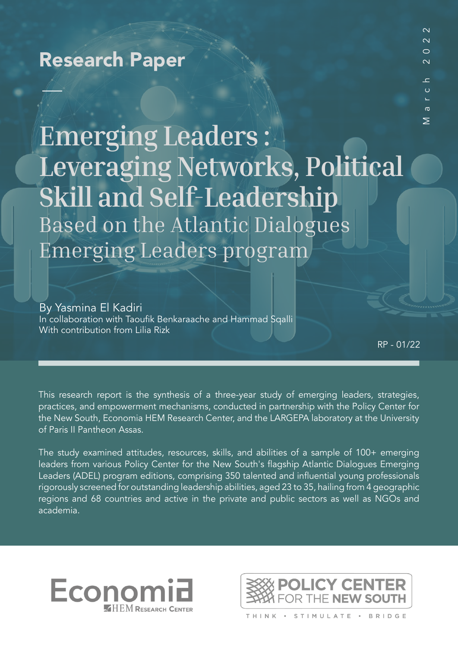# Research Paper

**Emerging Leaders : Leveraging Networks, Political Skill and Self-Leadership** Based on the Atlantic Dialogues Emerging Leaders program

By Yasmina El Kadiri In collaboration with Taoufik Benkaraache and Hammad Sqalli With contribution from Lilia Rizk

RP - 01/22

This research report is the synthesis of a three-year study of emerging leaders, strategies, practices, and empowerment mechanisms, conducted in partnership with the Policy Center for the New South, Economia HEM Research Center, and the LARGEPA laboratory at the University of Paris II Pantheon Assas.

The study examined attitudes, resources, skills, and abilities of a sample of 100+ emerging leaders from various Policy Center for the New South's flagship Atlantic Dialogues Emerging Leaders (ADEL) program editions, comprising 350 talented and influential young professionals rigorously screened for outstanding leadership abilities, aged 23 to 35, hailing from 4 geographic regions and 68 countries and active in the private and public sectors as well as NGOs and academia.



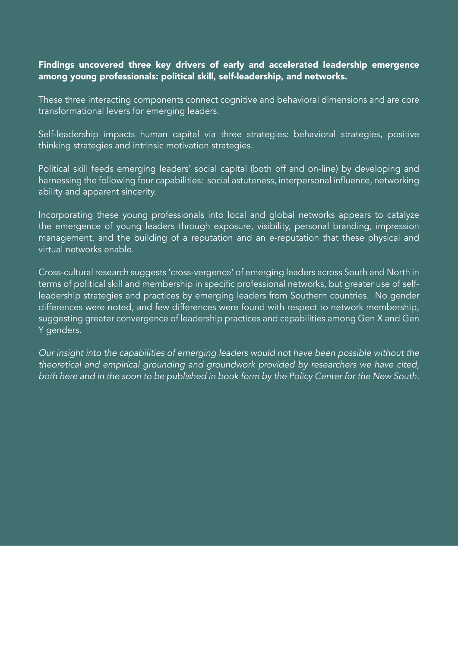### Findings uncovered three key drivers of early and accelerated leadership emergence among young professionals: political skill, self-leadership, and networks.

These three interacting components connect cognitive and behavioral dimensions and are core transformational levers for emerging leaders.

Self-leadership impacts human capital via three strategies: behavioral strategies, positive thinking strategies and intrinsic motivation strategies.

Political skill feeds emerging leaders' social capital (both off and on-line) by developing and harnessing the following four capabilities: social astuteness, interpersonal influence, networking ability and apparent sincerity.

Incorporating these young professionals into local and global networks appears to catalyze the emergence of young leaders through exposure, visibility, personal branding, impression management, and the building of a reputation and an e-reputation that these physical and virtual networks enable.

Cross-cultural research suggests 'cross-vergence' of emerging leaders across South and North in terms of political skill and membership in specific professional networks, but greater use of selfleadership strategies and practices by emerging leaders from Southern countries. No gender differences were noted, and few differences were found with respect to network membership, suggesting greater convergence of leadership practices and capabilities among Gen X and Gen Y genders.

*Our insight into the capabilities of emerging leaders would not have been possible without the theoretical and empirical grounding and groundwork provided by researchers we have cited, both here and in the soon to be published in book form by the Policy Center for the New South.*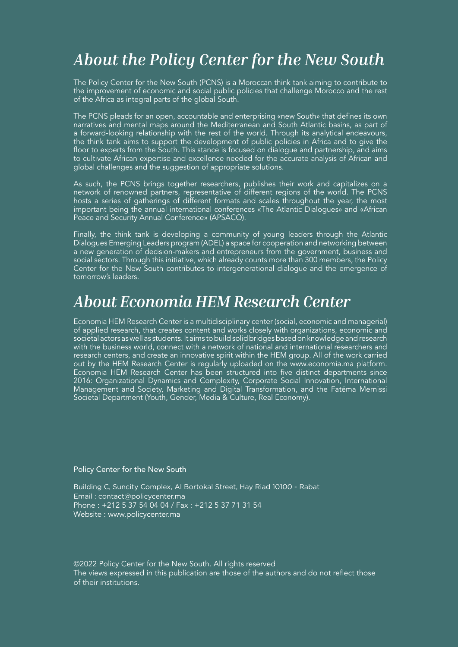# *About the Policy Center for the New South*

The Policy Center for the New South (PCNS) is a Moroccan think tank aiming to contribute to the improvement of economic and social public policies that challenge Morocco and the rest of the Africa as integral parts of the global South.

The PCNS pleads for an open, accountable and enterprising «new South» that defines its own narratives and mental maps around the Mediterranean and South Atlantic basins, as part of a forward-looking relationship with the rest of the world. Through its analytical endeavours, the think tank aims to support the development of public policies in Africa and to give the floor to experts from the South. This stance is focused on dialogue and partnership, and aims to cultivate African expertise and excellence needed for the accurate analysis of African and global challenges and the suggestion of appropriate solutions.

As such, the PCNS brings together researchers, publishes their work and capitalizes on a network of renowned partners, representative of different regions of the world. The PCNS hosts a series of gatherings of different formats and scales throughout the year, the most important being the annual international conferences «The Atlantic Dialogues» and «African Peace and Security Annual Conference» (APSACO).

Finally, the think tank is developing a community of young leaders through the Atlantic Dialogues Emerging Leaders program (ADEL) a space for cooperation and networking between a new generation of decision-makers and entrepreneurs from the government, business and social sectors. Through this initiative, which already counts more than 300 members, the Policy Center for the New South contributes to intergenerational dialogue and the emergence of tomorrow's leaders.

# *About Economia HEM Research Center*

Economia HEM Research Center is a multidisciplinary center (social, economic and managerial) of applied research, that creates content and works closely with organizations, economic and societal actors as well as students. It aims to build solid bridges based on knowledge and research with the business world, connect with a network of national and international researchers and research centers, and create an innovative spirit within the HEM group. All of the work carried out by the HEM Research Center is regularly uploaded on the www.economia.ma platform. Economia HEM Research Center has been structured into five distinct departments since 2016: Organizational Dynamics and Complexity, Corporate Social Innovation, International Management and Society, Marketing and Digital Transformation, and the Fatéma Mernissi Societal Department (Youth, Gender, Media & Culture, Real Economy).

#### Policy Center for the New South

Building C, Suncity Complex, Al Bortokal Street, Hay Riad 10100 - Rabat Email : contact@policycenter.ma Phone : +212 5 37 54 04 04 / Fax : +212 5 37 71 31 54 Website : www.policycenter.ma

©2022 Policy Center for the New South. All rights reserved The views expressed in this publication are those of the authors and do not reflect those of their institutions.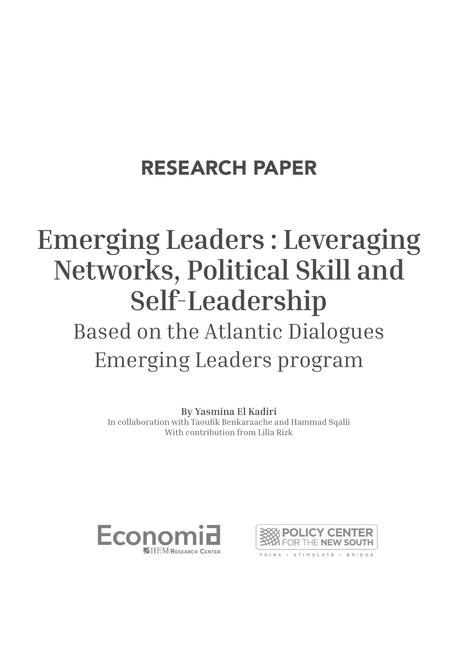# RESEARCH PAPER

# **Emerging Leaders : Leveraging Networks, Political Skill and Self-Leadership**

# Based on the Atlantic Dialogues Emerging Leaders program

**By Yasmina El Kadiri** In collaboration with Taoufik Benkaraache and Hammad Sqalli With contribution from Lilia Rizk



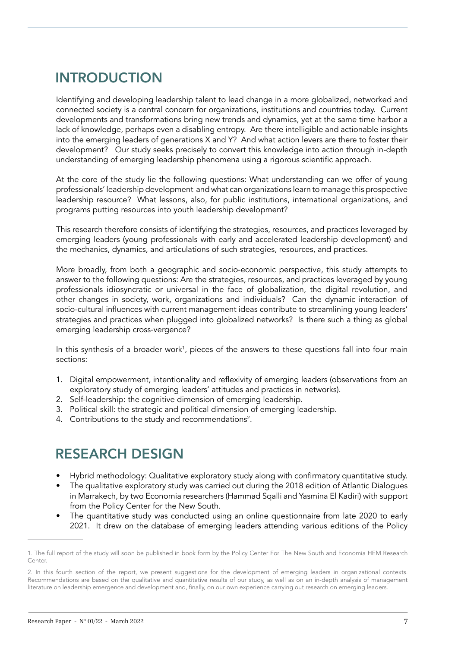# INTRODUCTION

Identifying and developing leadership talent to lead change in a more globalized, networked and connected society is a central concern for organizations, institutions and countries today. Current developments and transformations bring new trends and dynamics, yet at the same time harbor a lack of knowledge, perhaps even a disabling entropy. Are there intelligible and actionable insights into the emerging leaders of generations X and Y? And what action levers are there to foster their development? Our study seeks precisely to convert this knowledge into action through in-depth understanding of emerging leadership phenomena using a rigorous scientific approach.

At the core of the study lie the following questions: What understanding can we offer of young professionals' leadership development and what can organizations learn to manage this prospective leadership resource? What lessons, also, for public institutions, international organizations, and programs putting resources into youth leadership development?

This research therefore consists of identifying the strategies, resources, and practices leveraged by emerging leaders (young professionals with early and accelerated leadership development) and the mechanics, dynamics, and articulations of such strategies, resources, and practices.

More broadly, from both a geographic and socio-economic perspective, this study attempts to answer to the following questions: Are the strategies, resources, and practices leveraged by young professionals idiosyncratic or universal in the face of globalization, the digital revolution, and other changes in society, work, organizations and individuals? Can the dynamic interaction of socio-cultural influences with current management ideas contribute to streamlining young leaders' strategies and practices when plugged into globalized networks? Is there such a thing as global emerging leadership cross-vergence?

In this synthesis of a broader work<sup>1</sup>, pieces of the answers to these questions fall into four main sections:

- 1. Digital empowerment, intentionality and reflexivity of emerging leaders (observations from an exploratory study of emerging leaders' attitudes and practices in networks).
- 2. Self-leadership: the cognitive dimension of emerging leadership.
- 3. Political skill: the strategic and political dimension of emerging leadership.
- 4. Contributions to the study and recommendations<sup>2</sup>.

# RESEARCH DESIGN

- Hybrid methodology: Qualitative exploratory study along with confirmatory quantitative study.
- The qualitative exploratory study was carried out during the 2018 edition of Atlantic Dialogues in Marrakech, by two Economia researchers (Hammad Sqalli and Yasmina El Kadiri) with support from the Policy Center for the New South.
- The quantitative study was conducted using an online questionnaire from late 2020 to early 2021. It drew on the database of emerging leaders attending various editions of the Policy

<sup>1.</sup> The full report of the study will soon be published in book form by the Policy Center For The New South and Economia HEM Research Center.

<sup>2.</sup> In this fourth section of the report, we present suggestions for the development of emerging leaders in organizational contexts. Recommendations are based on the qualitative and quantitative results of our study, as well as on an in-depth analysis of management literature on leadership emergence and development and, finally, on our own experience carrying out research on emerging leaders.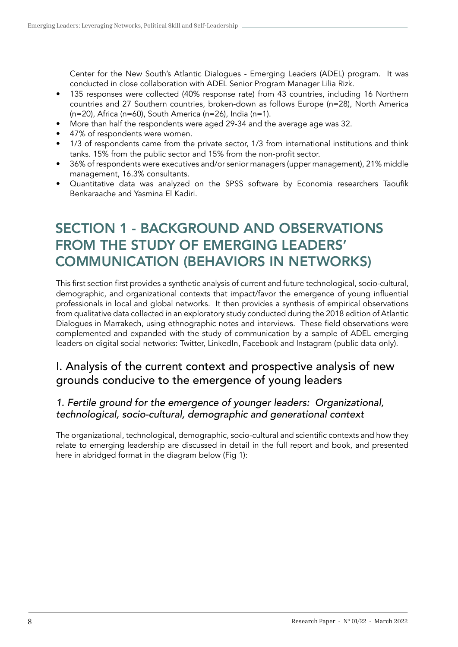Center for the New South's Atlantic Dialogues - Emerging Leaders (ADEL) program. It was conducted in close collaboration with ADEL Senior Program Manager Lilia Rizk.

- 135 responses were collected (40% response rate) from 43 countries, including 16 Northern countries and 27 Southern countries, broken-down as follows Europe (n=28), North America (n=20), Africa (n=60), South America (n=26), India (n=1).
- More than half the respondents were aged 29-34 and the average age was 32.
- 47% of respondents were women.
- 1/3 of respondents came from the private sector, 1/3 from international institutions and think tanks. 15% from the public sector and 15% from the non-profit sector.
- 36% of respondents were executives and/or senior managers (upper management), 21% middle management, 16.3% consultants.
- Quantitative data was analyzed on the SPSS software by Economia researchers Taoufik Benkaraache and Yasmina El Kadiri.

# SECTION 1 - BACKGROUND AND OBSERVATIONS FROM THE STUDY OF EMERGING LEADERS' COMMUNICATION (BEHAVIORS IN NETWORKS)

This first section first provides a synthetic analysis of current and future technological, socio-cultural, demographic, and organizational contexts that impact/favor the emergence of young influential professionals in local and global networks. It then provides a synthesis of empirical observations from qualitative data collected in an exploratory study conducted during the 2018 edition of Atlantic Dialogues in Marrakech, using ethnographic notes and interviews. These field observations were complemented and expanded with the study of communication by a sample of ADEL emerging leaders on digital social networks: Twitter, LinkedIn, Facebook and Instagram (public data only).

## I. Analysis of the current context and prospective analysis of new grounds conducive to the emergence of young leaders

### *1. Fertile ground for the emergence of younger leaders: Organizational, technological, socio-cultural, demographic and generational context*

The organizational, technological, demographic, socio-cultural and scientific contexts and how they relate to emerging leadership are discussed in detail in the full report and book, and presented here in abridged format in the diagram below (Fig 1):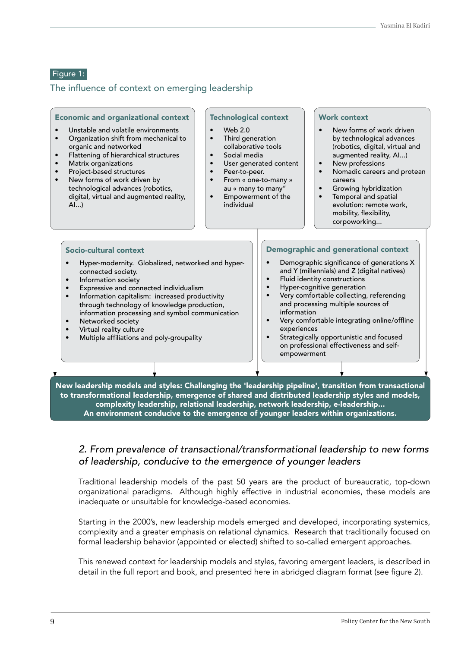### Figure 1:

### The influence of context on emerging leadership



### *2. From prevalence of transactional/transformational leadership to new forms of leadership, conducive to the emergence of younger leaders*

Traditional leadership models of the past 50 years are the product of bureaucratic, top-down organizational paradigms. Although highly effective in industrial economies, these models are inadequate or unsuitable for knowledge-based economies.

Starting in the 2000's, new leadership models emerged and developed, incorporating systemics, complexity and a greater emphasis on relational dynamics. Research that traditionally focused on formal leadership behavior (appointed or elected) shifted to so-called emergent approaches.

This renewed context for leadership models and styles, favoring emergent leaders, is described in detail in the full report and book, and presented here in abridged diagram format (see figure 2).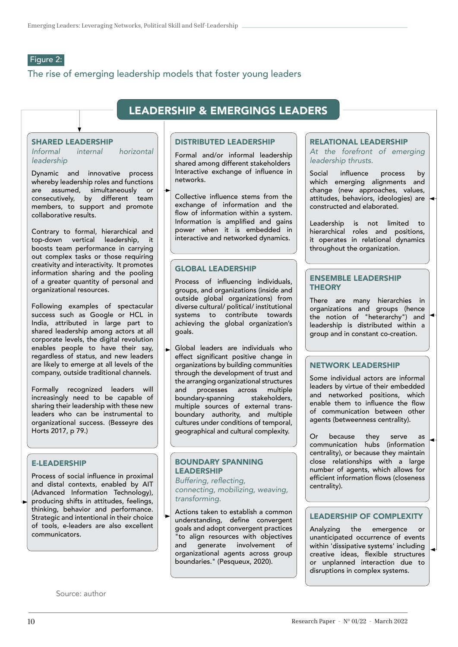### Figure 2:

### The rise of emerging leadership models that foster young leaders

### LEADERSHIP & EMERGINGS LEADERS

# **SHARED LEADERSHIP**<br>Informal internal

*Informal internal horizontal leadership*

Dynamic and innovative process whereby leadership roles and functions<br>are assumed, simultaneously or are assumed, simultaneously consecutively, by different team members, to support and promote collaborative results.

Contrary to formal, hierarchical and top-down vertical leadership, it boosts team performance in carrying out complex tasks or those requiring creativity and interactivity. It promotes information sharing and the pooling of a greater quantity of personal and organizational resources.

Following examples of spectacular success such as Google or HCL in India, attributed in large part to shared leadership among actors at all corporate levels, the digital revolution enables people to have their say, regardless of status, and new leaders are likely to emerge at all levels of the company, outside traditional channels.

Formally recognized leaders will increasingly need to be capable of sharing their leadership with these new leaders who can be instrumental to organizational success. (Besseyre des Horts 2017, p 79.)

#### E-LEADERSHIP

Process of social influence in proximal and distal contexts, enabled by AIT (Advanced Information Technology), producing shifts in attitudes, feelings, thinking, behavior and performance. Strategic and intentional in their choice of tools, e-leaders are also excellent communicators.

#### DISTRIBUTED LEADERSHIP

Formal and/or informal leadership shared among different stakeholders Interactive exchange of influence in networks.

Collective influence stems from the exchange of information and the flow of information within a system. Information is amplified and gains power when it is embedded in interactive and networked dynamics.

#### GLOBAL LEADERSHIP

Process of influencing individuals, groups, and organizations (inside and outside global organizations) from diverse cultural/ political/ institutional systems to contribute towards achieving the global organization's goals.

Global leaders are individuals who effect significant positive change in organizations by building communities through the development of trust and the arranging organizational structures and processes across multiple<br>boundary-spanning stakeholders. boundary-spanning multiple sources of external transboundary authority, and multiple cultures under conditions of temporal, geographical and cultural complexity.

#### BOUNDARY SPANNING **LEADERSHIP**

Buffering, reflecting, connecting, mobilizing, weaving, *transforming.*

Actions taken to establish a common understanding, define convergent goals and adopt convergent practices "to align resources with objectives and generate involvement of organizational agents across group boundaries." (Pesqueux, 2020).

### RELATIONAL LEADERSHIP

*At the forefront of emerging leadership thrusts.*

Social influence process by which emerging alignments and change (new approaches, values, attitudes, behaviors, ideologies) are constructed and elaborated.

Leadership is not limited to hierarchical roles and positions, it operates in relational dynamics throughout the organization.

#### ENSEMBLE LEADERSHIP **THEORY**

There are many hierarchies in organizations and groups (hence the notion of "heterarchy") and leadership is distributed within a group and in constant co-creation.

#### NETWORK LEADERSHIP

Some individual actors are informal leaders by virtue of their embedded and networked positions, which enable them to influence the flow of communication between other agents (betweenness centrality).

Or because they serve as communication hubs (information centrality), or because they maintain close relationships with a large number of agents, which allows for efficient information flows (closeness centrality).

#### LEADERSHIP OF COMPLEXITY

Analyzing the emergence or unanticipated occurrence of events within 'dissipative systems' including creative ideas, flexible structures or unplanned interaction due to disruptions in complex systems.

Source: author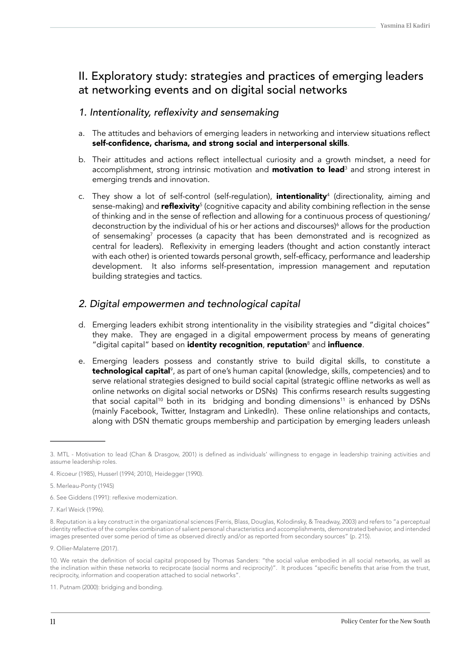## II. Exploratory study: strategies and practices of emerging leaders at networking events and on digital social networks

### 1. Intentionality, reflexivity and sensemaking

- a. The attitudes and behaviors of emerging leaders in networking and interview situations reflect self-confidence, charisma, and strong social and interpersonal skills.
- b. Their attitudes and actions reflect intellectual curiosity and a growth mindset, a need for accomplishment, strong intrinsic motivation and **motivation to lead**<sup>3</sup> and strong interest in emerging trends and innovation.
- c. They show a lot of self-control (self-regulation), **intentionality**<sup>4</sup> (directionality, aiming and sense-making) and **reflexivity**<sup>5</sup> (cognitive capacity and ability combining reflection in the sense of thinking and in the sense of reflection and allowing for a continuous process of questioning/ deconstruction by the individual of his or her actions and discourses)<sup>6</sup> allows for the production of sensemaking<sup>7</sup> processes (a capacity that has been demonstrated and is recognized as central for leaders). Reflexivity in emerging leaders (thought and action constantly interact with each other) is oriented towards personal growth, self-efficacy, performance and leadership development. It also informs self-presentation, impression management and reputation building strategies and tactics.

### *2. Digital empowermen and technological capital*

- d. Emerging leaders exhibit strong intentionality in the visibility strategies and "digital choices" they make. They are engaged in a digital empowerment process by means of generating "digital capital" based on **identity recognition, reputation**<sup>8</sup> and **influence**.
- e. Emerging leaders possess and constantly strive to build digital skills, to constitute a **technological capital**<sup>9</sup>, as part of one's human capital (knowledge, skills, competencies) and to serve relational strategies designed to build social capital (strategic offline networks as well as online networks on digital social networks or DSNs) This confirms research results suggesting that social capital<sup>10</sup> both in its bridging and bonding dimensions<sup>11</sup> is enhanced by DSNs (mainly Facebook, Twitter, Instagram and LinkedIn). These online relationships and contacts, along with DSN thematic groups membership and participation by emerging leaders unleash

<sup>3.</sup> MTL - Motivation to lead (Chan & Drasgow, 2001) is defined as individuals' willingness to engage in leadership training activities and assume leadership roles.

<sup>4.</sup> Ricoeur (1985), Husserl (1994; 2010), Heidegger (1990).

<sup>5.</sup> Merleau-Ponty (1945)

<sup>6.</sup> See Giddens (1991): reflexive modernization.

<sup>7.</sup> Karl Weick (1996).

<sup>8.</sup> Reputation is a key construct in the organizational sciences (Ferris, Blass, Douglas, Kolodinsky, & Treadway, 2003) and refers to "a perceptual identity reflective of the complex combination of salient personal characteristics and accomplishments, demonstrated behavior, and intended images presented over some period of time as observed directly and/or as reported from secondary sources" (p. 215).

<sup>9.</sup> Ollier-Malaterre (2017).

<sup>10.</sup> We retain the definition of social capital proposed by Thomas Sanders: "the social value embodied in all social networks, as well as the inclination within these networks to reciprocate (social norms and reciprocity)". It produces "specific benefits that arise from the trust, reciprocity, information and cooperation attached to social networks".

<sup>11.</sup> Putnam (2000): bridging and bonding.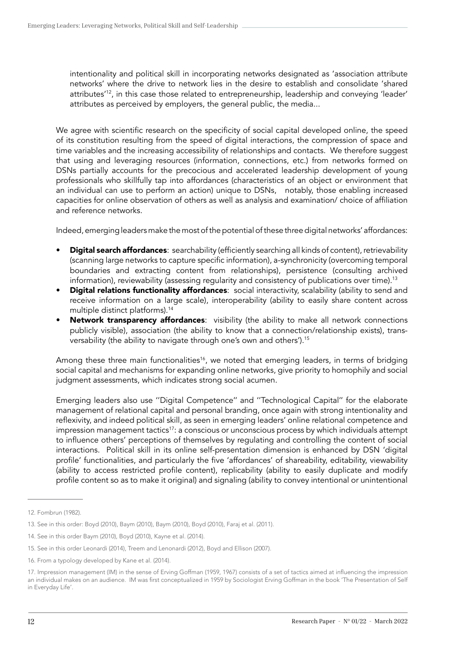intentionality and political skill in incorporating networks designated as 'association attribute networks' where the drive to network lies in the desire to establish and consolidate 'shared attributes<sup>'12</sup>, in this case those related to entrepreneurship, leadership and conveying 'leader' attributes as perceived by employers, the general public, the media...

We agree with scientific research on the specificity of social capital developed online, the speed of its constitution resulting from the speed of digital interactions, the compression of space and time variables and the increasing accessibility of relationships and contacts. We therefore suggest that using and leveraging resources (information, connections, etc.) from networks formed on DSNs partially accounts for the precocious and accelerated leadership development of young professionals who skillfully tap into affordances (characteristics of an object or environment that an individual can use to perform an action) unique to DSNs, notably, those enabling increased capacities for online observation of others as well as analysis and examination/ choice of affiliation and reference networks.

Indeed, emerging leaders make the most of the potential of these three digital networks' affordances:

- **Digital search affordances**: searchability (efficiently searching all kinds of content), retrievability (scanning large networks to capture specific information), a-synchronicity (overcoming temporal boundaries and extracting content from relationships), persistence (consulting archived information), reviewability (assessing regularity and consistency of publications over time).<sup>13</sup>
- **Digital relations functionality affordances:** social interactivity, scalability (ability to send and receive information on a large scale), interoperability (ability to easily share content across multiple distinct platforms).14
- Network transparency affordances: visibility (the ability to make all network connections publicly visible), association (the ability to know that a connection/relationship exists), transversability (the ability to navigate through one's own and others').<sup>15</sup>

Among these three main functionalities<sup>16</sup>, we noted that emerging leaders, in terms of bridging social capital and mechanisms for expanding online networks, give priority to homophily and social judgment assessments, which indicates strong social acumen.

Emerging leaders also use ''Digital Competence'' and ''Technological Capital'' for the elaborate management of relational capital and personal branding, once again with strong intentionality and reflexivity, and indeed political skill, as seen in emerging leaders' online relational competence and impression management tactics<sup>17</sup>: a conscious or unconscious process by which individuals attempt to influence others' perceptions of themselves by regulating and controlling the content of social interactions. Political skill in its online self-presentation dimension is enhanced by DSN 'digital profile' functionalities, and particularly the five 'affordances' of shareability, editability, viewability (ability to access restricted profile content), replicability (ability to easily duplicate and modify profile content so as to make it original) and signaling (ability to convey intentional or unintentional

<sup>12.</sup> Fombrun (1982).

<sup>13.</sup> See in this order: Boyd (2010), Baym (2010), Baym (2010), Boyd (2010), Faraj et al. (2011).

<sup>14.</sup> See in this order Baym (2010), Boyd (2010), Kayne et al. (2014).

<sup>15.</sup> See in this order Leonardi (2014), Treem and Lenonardi (2012), Boyd and Ellison (2007).

<sup>16.</sup> From a typology developed by Kane et al. (2014).

<sup>17.</sup> Impression management (IM) in the sense of Erving Goffman (1959, 1967) consists of a set of tactics aimed at influencing the impression an individual makes on an audience. IM was first conceptualized in 1959 by Sociologist Erving Goffman in the book 'The Presentation of Self in Everyday Life'.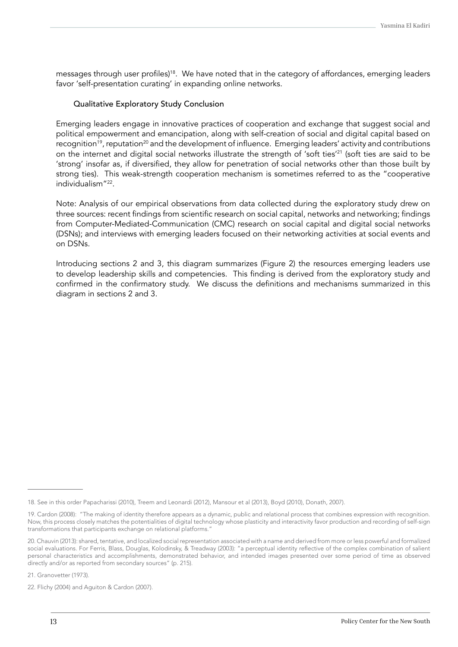messages through user profiles)<sup>18</sup>. We have noted that in the category of affordances, emerging leaders favor 'self-presentation curating' in expanding online networks.

#### Qualitative Exploratory Study Conclusion

Emerging leaders engage in innovative practices of cooperation and exchange that suggest social and political empowerment and emancipation, along with self-creation of social and digital capital based on recognition<sup>19</sup>, reputation<sup>20</sup> and the development of influence. Emerging leaders' activity and contributions on the internet and digital social networks illustrate the strength of 'soft ties'21 (soft ties are said to be 'strong' insofar as, if diversified, they allow for penetration of social networks other than those built by strong ties). This weak-strength cooperation mechanism is sometimes referred to as the "cooperative individualism"22.

Note: Analysis of our empirical observations from data collected during the exploratory study drew on three sources: recent findings from scientific research on social capital, networks and networking; findings from Computer-Mediated-Communication (CMC) research on social capital and digital social networks (DSNs); and interviews with emerging leaders focused on their networking activities at social events and on DSNs.

Introducing sections 2 and 3, this diagram summarizes (Figure 2) the resources emerging leaders use to develop leadership skills and competencies. This finding is derived from the exploratory study and confirmed in the confirmatory study. We discuss the definitions and mechanisms summarized in this diagram in sections 2 and 3.

<sup>18.</sup> See in this order Papacharissi (2010), Treem and Leonardi (2012), Mansour et al (2013), Boyd (2010), Donath, 2007).

<sup>19.</sup> Cardon (2008): "The making of identity therefore appears as a dynamic, public and relational process that combines expression with recognition. Now, this process closely matches the potentialities of digital technology whose plasticity and interactivity favor production and recording of self-sign transformations that participants exchange on relational platforms."

<sup>20.</sup> Chauvin (2013): shared, tentative, and localized social representation associated with a name and derived from more or less powerful and formalized social evaluations. For Ferris, Blass, Douglas, Kolodinsky, & Treadway (2003): "a perceptual identity reflective of the complex combination of salient personal characteristics and accomplishments, demonstrated behavior, and intended images presented over some period of time as observed directly and/or as reported from secondary sources" (p. 215).

<sup>21.</sup> Granovetter (1973).

<sup>22.</sup> Flichy (2004) and Aguiton & Cardon (2007).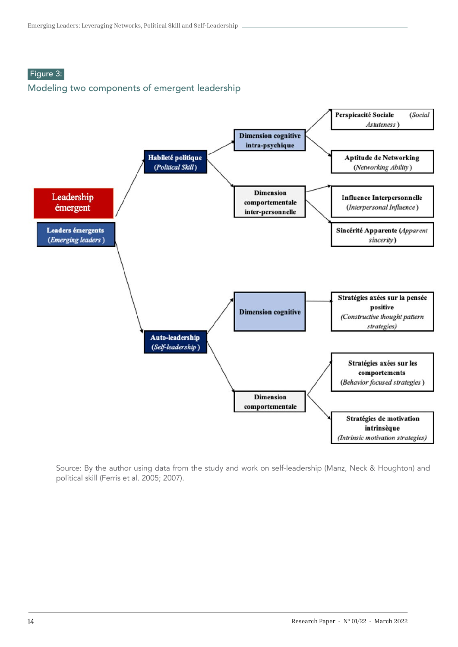

### Modeling two components of emergent leadership



Source: By the author using data from the study and work on self-leadership (Manz, Neck & Houghton) and political skill (Ferris et al. 2005; 2007).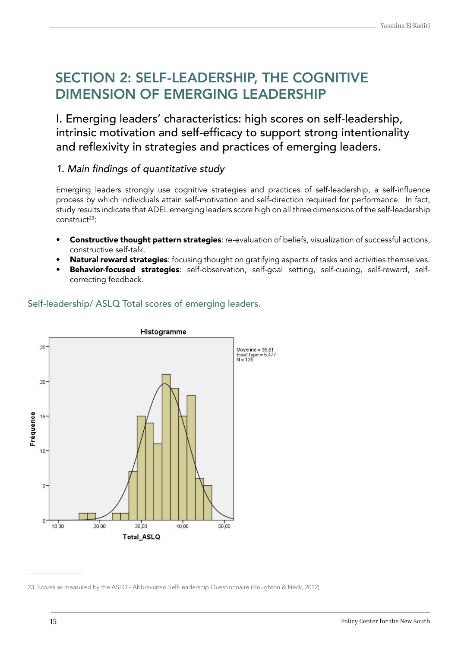# SECTION 2: SELF-LEADERSHIP, THE COGNITIVE DIMENSION OF EMERGING LEADERSHIP

I. Emerging leaders' characteristics: high scores on self-leadership, intrinsic motivation and self-efficacy to support strong intentionality and reflexivity in strategies and practices of emerging leaders.

### 1. Main findings of quantitative study

Emerging leaders strongly use cognitive strategies and practices of self-leadership, a self-influence process by which individuals attain self-motivation and self-direction required for performance. In fact, study results indicate that ADEL emerging leaders score high on all three dimensions of the self-leadership  $construct<sup>23</sup>$ :

- Constructive thought pattern strategies: re-evaluation of beliefs, visualization of successful actions, constructive self-talk.
- Natural reward strategies: focusing thought on gratifying aspects of tasks and activities themselves.
- **Behavior-focused strategies**: self-observation, self-qoal setting, self-cueing, self-reward, selfcorrecting feedback.



### Self-leadership/ ASLQ Total scores of emerging leaders.

<sup>23.</sup> Scores as measured by the ASLQ - Abbreviated Self-leadership Questionnaire (Houghton & Neck, 2012).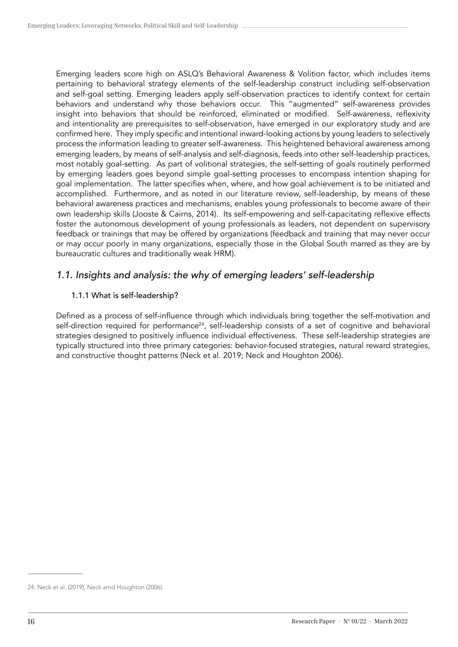Emerging leaders score high on ASLQ's Behavioral Awareness & Volition factor, which includes items pertaining to behavioral strategy elements of the self-leadership construct including self-observation and self-goal setting. Emerging leaders apply self-observation practices to identify context for certain behaviors and understand why those behaviors occur. This "augmented" self-awareness provides insight into behaviors that should be reinforced, eliminated or modified. Self-awareness, reflexivity and intentionality are prerequisites to self-observation, have emerged in our exploratory study and are confirmed here. They imply specific and intentional inward-looking actions by young leaders to selectively process the information leading to greater self-awareness. This heightened behavioral awareness among emerging leaders, by means of self-analysis and self-diagnosis, feeds into other self-leadership practices, most notably goal-setting. As part of volitional strategies, the self-setting of goals routinely performed by emerging leaders goes beyond simple goal-setting processes to encompass intention shaping for goal implementation. The latter specifies when, where, and how goal achievement is to be initiated and accomplished. Furthermore, and as noted in our literature review, self-leadership, by means of these behavioral awareness practices and mechanisms, enables young professionals to become aware of their own leadership skills (Jooste & Cairns, 2014). Its self-empowering and self-capacitating reflexive effects foster the autonomous development of young professionals as leaders, not dependent on supervisory feedback or trainings that may be offered by organizations (feedback and training that may never occur or may occur poorly in many organizations, especially those in the Global South marred as they are by bureaucratic cultures and traditionally weak HRM).

### *1.1. Insights and analysis: the why of emerging leaders' self-leadership*

### 1.1.1 What is self-leadership?

Defined as a process of self-influence through which individuals bring together the self-motivation and self-direction required for performance<sup>24</sup>, self-leadership consists of a set of cognitive and behavioral strategies designed to positively influence individual effectiveness. These self-leadership strategies are typically structured into three primary categories: behavior-focused strategies, natural reward strategies, and constructive thought patterns (Neck et al. 2019; Neck and Houghton 2006).

<sup>24.</sup> Neck et al. (2019), Neck amd Houghton (2006).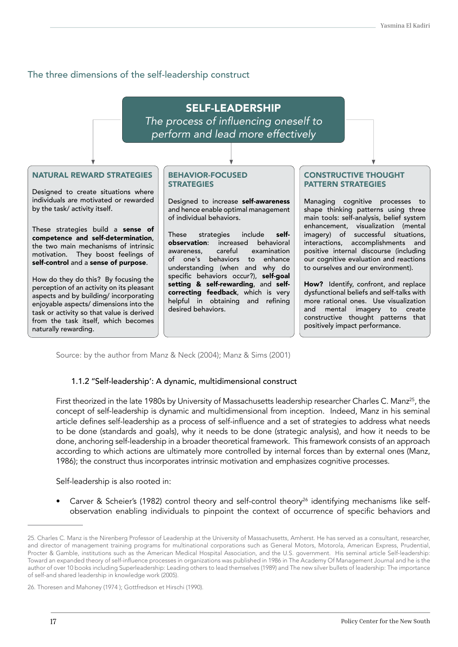### The three dimensions of the self-leadership construct



Source: by the author from Manz & Neck (2004); Manz & Sims (2001)

### 1.1.2 ''Self-leadership': A dynamic, multidimensional construct

First theorized in the late 1980s by University of Massachusetts leadership researcher Charles C. Manz<sup>25</sup>, the concept of self-leadership is dynamic and multidimensional from inception. Indeed, Manz in his seminal article defines self-leadership as a process of self-influence and a set of strategies to address what needs to be done (standards and goals), why it needs to be done (strategic analysis), and how it needs to be done, anchoring self-leadership in a broader theoretical framework. This framework consists of an approach according to which actions are ultimately more controlled by internal forces than by external ones (Manz, 1986); the construct thus incorporates intrinsic motivation and emphasizes cognitive processes.

Self-leadership is also rooted in:

Carver & Scheier's (1982) control theory and self-control theory<sup>26</sup> identifying mechanisms like selfobservation enabling individuals to pinpoint the context of occurrence of specific behaviors and

<sup>25.</sup> Charles C. Manz is the Nirenberg Professor of Leadership at the University of Massachusetts, Amherst. He has served as a consultant, researcher, and director of management training programs for multinational corporations such as General Motors, Motorola, American Express, Prudential, Procter & Gamble, institutions such as the American Medical Hospital Association, and the U.S. government. His seminal article Self-leadership: Toward an expanded theory of self-influence processes in organizations was published in 1986 in The Academy Of Management Journal and he is the author of over 10 books including Superleadership: Leading others to lead themselves (1989) and The new silver bullets of leadership: The importance of self-and shared leadership in knowledge work (2005).

<sup>26.</sup> Thoresen and Mahoney (1974 ); Gottfredson et Hirschi (1990).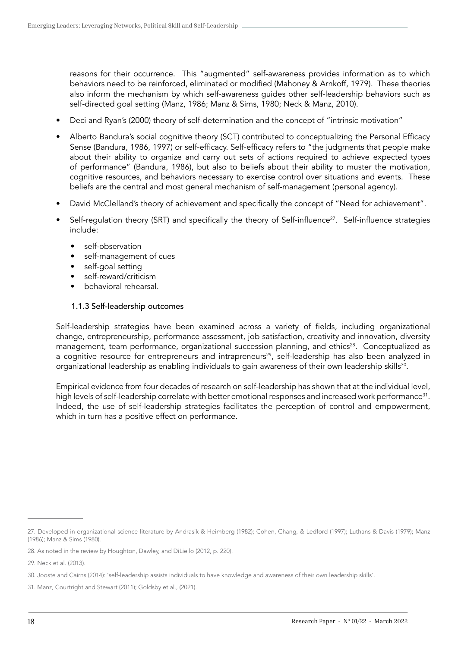reasons for their occurrence. This "augmented" self-awareness provides information as to which behaviors need to be reinforced, eliminated or modified (Mahoney & Arnkoff, 1979). These theories also inform the mechanism by which self-awareness guides other self-leadership behaviors such as self-directed goal setting (Manz, 1986; Manz & Sims, 1980; Neck & Manz, 2010).

- Deci and Ryan's (2000) theory of self-determination and the concept of "intrinsic motivation"
- Alberto Bandura's social cognitive theory (SCT) contributed to conceptualizing the Personal Efficacy Sense (Bandura, 1986, 1997) or self-efficacy. Self-efficacy refers to "the judgments that people make about their ability to organize and carry out sets of actions required to achieve expected types of performance" (Bandura, 1986), but also to beliefs about their ability to muster the motivation, cognitive resources, and behaviors necessary to exercise control over situations and events. These beliefs are the central and most general mechanism of self-management (personal agency).
- David McClelland's theory of achievement and specifically the concept of "Need for achievement".
- Self-regulation theory (SRT) and specifically the theory of Self-influence<sup>27</sup>. Self-influence strategies include:
	- self-observation
	- self-management of cues
	- self-goal setting
	- self-reward/criticism
	- behavioral rehearsal.

### 1.1.3 Self-leadership outcomes

Self-leadership strategies have been examined across a variety of fields, including organizational change, entrepreneurship, performance assessment, job satisfaction, creativity and innovation, diversity management, team performance, organizational succession planning, and ethics<sup>28</sup>. Conceptualized as a cognitive resource for entrepreneurs and intrapreneurs<sup>29</sup>, self-leadership has also been analyzed in organizational leadership as enabling individuals to gain awareness of their own leadership skills<sup>30</sup>.

Empirical evidence from four decades of research on self-leadership has shown that at the individual level, high levels of self-leadership correlate with better emotional responses and increased work performance<sup>31</sup>. Indeed, the use of self-leadership strategies facilitates the perception of control and empowerment, which in turn has a positive effect on performance.

<sup>27.</sup> Developed in organizational science literature by Andrasik & Heimberg (1982); Cohen, Chang, & Ledford (1997); Luthans & Davis (1979); Manz (1986); Manz & Sims (1980).

<sup>28.</sup> As noted in the review by Houghton, Dawley, and DiLiello (2012, p. 220).

<sup>29.</sup> Neck et al. (2013).

<sup>30.</sup> Jooste and Cairns (2014): 'self-leadership assists individuals to have knowledge and awareness of their own leadership skills'.

<sup>31.</sup> Manz, Courtright and Stewart (2011); Goldsby et al., (2021).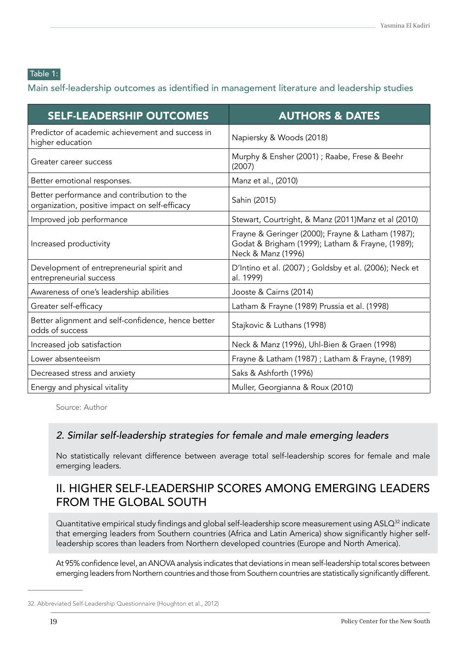### Table 1:

### Main self-leadership outcomes as identified in management literature and leadership studies

| <b>SELF-LEADERSHIP OUTCOMES</b>                                                              | <b>AUTHORS &amp; DATES</b>                                                                                                  |
|----------------------------------------------------------------------------------------------|-----------------------------------------------------------------------------------------------------------------------------|
| Predictor of academic achievement and success in<br>higher education                         | Napiersky & Woods (2018)                                                                                                    |
| Greater career success                                                                       | Murphy & Ensher (2001) ; Raabe, Frese & Beehr<br>(2007)                                                                     |
| Better emotional responses.                                                                  | Manz et al., (2010)                                                                                                         |
| Better performance and contribution to the<br>organization, positive impact on self-efficacy | Sahin (2015)                                                                                                                |
| Improved job performance                                                                     | Stewart, Courtright, & Manz (2011) Manz et al (2010)                                                                        |
| Increased productivity                                                                       | Frayne & Geringer (2000); Frayne & Latham (1987);<br>Godat & Brigham (1999); Latham & Frayne, (1989);<br>Neck & Manz (1996) |
| Development of entrepreneurial spirit and<br>entrepreneurial success                         | D'Intino et al. (2007) ; Goldsby et al. (2006); Neck et<br>al. 1999)                                                        |
| Awareness of one's leadership abilities                                                      | Jooste & Cairns (2014)                                                                                                      |
| Greater self-efficacy                                                                        | Latham & Frayne (1989) Prussia et al. (1998)                                                                                |
| Better alignment and self-confidence, hence better<br>odds of success                        | Stajkovic & Luthans (1998)                                                                                                  |
| Increased job satisfaction                                                                   | Neck & Manz (1996), Uhl-Bien & Graen (1998)                                                                                 |
| Lower absenteeism                                                                            | Frayne & Latham (1987) ; Latham & Frayne, (1989)                                                                            |
| Decreased stress and anxiety                                                                 | Saks & Ashforth (1996)                                                                                                      |
| Energy and physical vitality                                                                 | Muller, Georgianna & Roux (2010)                                                                                            |

Source: Author

### *2. Similar self-leadership strategies for female and male emerging leaders*

No statistically relevant difference between average total self-leadership scores for female and male emerging leaders.

# II. HIGHER SELF-LEADERSHIP SCORES AMONG EMERGING LEADERS FROM THE GLOBAL SOUTH

Quantitative empirical study findings and global self-leadership score measurement using ASLQ32 indicate that emerging leaders from Southern countries (Africa and Latin America) show significantly higher selfleadership scores than leaders from Northern developed countries (Europe and North America).

At 95% confidence level, an ANOVA analysis indicates that deviations in mean self-leadership total scores between emerging leaders from Northern countries and those from Southern countries are statistically significantly different.

<sup>32.</sup> Abbreviated Self-Leadership Questionnaire (Houghton et al., 2012)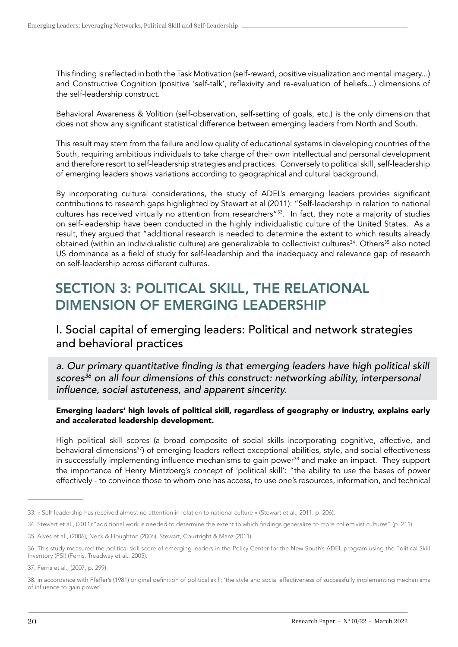This finding is reflected in both the Task Motivation (self-reward, positive visualization and mental imagery...) and Constructive Cognition (positive 'self-talk', reflexivity and re-evaluation of beliefs...) dimensions of the self-leadership construct.

Behavioral Awareness & Volition (self-observation, self-setting of goals, etc.) is the only dimension that does not show any significant statistical difference between emerging leaders from North and South.

This result may stem from the failure and low quality of educational systems in developing countries of the South, requiring ambitious individuals to take charge of their own intellectual and personal development and therefore resort to self-leadership strategies and practices. Conversely to political skill, self-leadership of emerging leaders shows variations according to geographical and cultural background.

By incorporating cultural considerations, the study of ADEL's emerging leaders provides significant contributions to research gaps highlighted by Stewart et al (2011): "Self-leadership in relation to national cultures has received virtually no attention from researchers"<sup>33</sup>. In fact, they note a majority of studies on self-leadership have been conducted in the highly individualistic culture of the United States. As a result, they argued that "additional research is needed to determine the extent to which results already obtained (within an individualistic culture) are generalizable to collectivist cultures<sup>34</sup>. Others<sup>35</sup> also noted US dominance as a field of study for self-leadership and the inadequacy and relevance gap of research on self-leadership across different cultures.

# SECTION 3: POLITICAL SKILL, THE RELATIONAL DIMENSION OF EMERGING LEADERSHIP

I. Social capital of emerging leaders: Political and network strategies and behavioral practices

a. Our primary quantitative finding is that emerging leaders have high political skill *scores36* on all four dimensions of this construct: networking ability, interpersonal influence, social astuteness, and apparent sincerity.

### Emerging leaders' high levels of political skill, regardless of geography or industry, explains early and accelerated leadership development.

High political skill scores (a broad composite of social skills incorporating cognitive, affective, and behavioral dimensions<sup>37</sup>) of emerging leaders reflect exceptional abilities, style, and social effectiveness in successfully implementing influence mechanisms to gain power<sup>38</sup> and make an impact. They support the importance of Henry Mintzberg's concept of 'political skill': "the ability to use the bases of power effectively - to convince those to whom one has access, to use one's resources, information, and technical

<sup>33. «</sup> Self-leadership has received almost no attention in relation to national culture » (Stewart et al., 2011, p. 206).

<sup>34.</sup> Stewart et al., (2011):"additional work is needed to determine the extent to which findings generalize to more collectivist cultures" (p. 211).

<sup>35.</sup> Alves et al., (2006), Neck & Houghton (2006), Stewart, Courtright & Manz (2011).

<sup>36.</sup> This study measured the political skill score of emerging leaders in the Policy Center for the New South's ADEL program using the Political Skill Inventory (PSI) (Ferris, Treadway et al., 2005).

<sup>37.</sup> Ferris et al., (2007, p. 299).

<sup>38.</sup> In accordance with Pfeffer's (1981) original definition of political skill: 'the style and social effectiveness of successfully implementing mechanisms of influence to gain power'.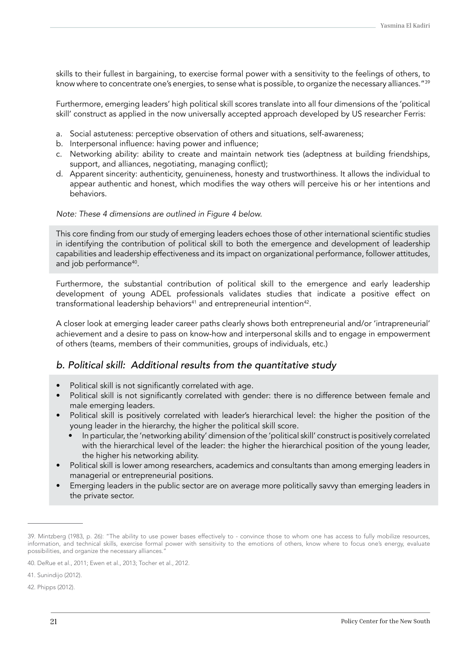skills to their fullest in bargaining, to exercise formal power with a sensitivity to the feelings of others, to know where to concentrate one's energies, to sense what is possible, to organize the necessary alliances."<sup>39</sup>

Furthermore, emerging leaders' high political skill scores translate into all four dimensions of the 'political skill' construct as applied in the now universally accepted approach developed by US researcher Ferris:

- a. Social astuteness: perceptive observation of others and situations, self-awareness;
- b. Interpersonal influence: having power and influence;
- c. Networking ability: ability to create and maintain network ties (adeptness at building friendships, support, and alliances, negotiating, managing conflict);
- d. Apparent sincerity: authenticity, genuineness, honesty and trustworthiness. It allows the individual to appear authentic and honest, which modifies the way others will perceive his or her intentions and behaviors.

#### *Note: These 4 dimensions are outlined in Figure 4 below.*

This core finding from our study of emerging leaders echoes those of other international scientific studies in identifying the contribution of political skill to both the emergence and development of leadership capabilities and leadership effectiveness and its impact on organizational performance, follower attitudes, and job performance<sup>40</sup>.

Furthermore, the substantial contribution of political skill to the emergence and early leadership development of young ADEL professionals validates studies that indicate a positive effect on transformational leadership behaviors<sup>41</sup> and entrepreneurial intention<sup>42</sup>.

A closer look at emerging leader career paths clearly shows both entrepreneurial and/or 'intrapreneurial' achievement and a desire to pass on know-how and interpersonal skills and to engage in empowerment of others (teams, members of their communities, groups of individuals, etc.)

### b. Political skill: Additional results from the quantitative study

- Political skill is not significantly correlated with age.
- Political skill is not significantly correlated with gender: there is no difference between female and male emerging leaders.
- Political skill is positively correlated with leader's hierarchical level: the higher the position of the young leader in the hierarchy, the higher the political skill score.
	- In particular, the 'networking ability' dimension of the 'political skill' construct is positively correlated with the hierarchical level of the leader: the higher the hierarchical position of the young leader, the higher his networking ability.
- Political skill is lower among researchers, academics and consultants than among emerging leaders in managerial or entrepreneurial positions.
- Emerging leaders in the public sector are on average more politically savvy than emerging leaders in the private sector.

<sup>39.</sup> Mintzberg (1983, p. 26): "The ability to use power bases effectively to - convince those to whom one has access to fully mobilize resources, information, and technical skills, exercise formal power with sensitivity to the emotions of others, know where to focus one's energy, evaluate possibilities, and organize the necessary alliances."

<sup>40.</sup> DeRue et al., 2011; Ewen et al., 2013; Tocher et al., 2012.

<sup>41.</sup> Sunindijo (2012).

<sup>42.</sup> Phipps (2012).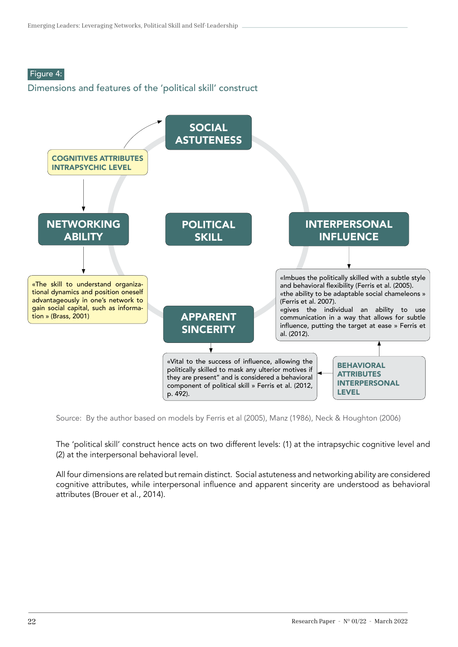### Figure 4:

### Dimensions and features of the 'political skill' construct



Source: By the author based on models by Ferris et al (2005), Manz (1986), Neck & Houghton (2006)

The 'political skill' construct hence acts on two different levels: (1) at the intrapsychic cognitive level and (2) at the interpersonal behavioral level.

All four dimensions are related but remain distinct. Social astuteness and networking ability are considered cognitive attributes, while interpersonal influence and apparent sincerity are understood as behavioral attributes (Brouer et al., 2014).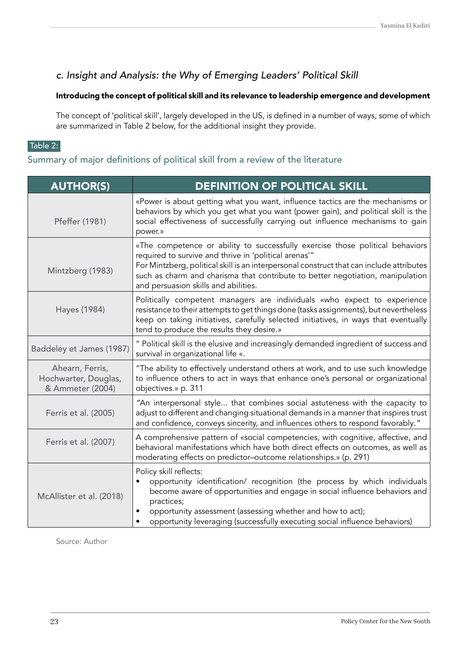### c. Insight and Analysis: the Why of Emerging Leaders' Political Skill

### Introducing the concept of political skill and its relevance to leadership emergence and development

The concept of 'political skill', largely developed in the US, is defined in a number of ways, some of which are summarized in Table 2 below, for the additional insight they provide.

### Table 2:

### Summary of major definitions of political skill from a review of the literature

| <b>AUTHOR(S)</b>                                            | <b>DEFINITION OF POLITICAL SKILL</b>                                                                                                                                                                                                                                                                                                                                  |  |
|-------------------------------------------------------------|-----------------------------------------------------------------------------------------------------------------------------------------------------------------------------------------------------------------------------------------------------------------------------------------------------------------------------------------------------------------------|--|
| Pfeffer (1981)                                              | «Power is about getting what you want, influence tactics are the mechanisms or<br>behaviors by which you get what you want (power gain), and political skill is the<br>social effectiveness of successfully carrying out influence mechanisms to gain<br>power.»                                                                                                      |  |
| Mintzberg (1983)                                            | «The competence or ability to successfully exercise those political behaviors<br>required to survive and thrive in 'political arenas'"<br>For Mintzberg, political skill is an interpersonal construct that can include attributes<br>such as charm and charisma that contribute to better negotiation, manipulation<br>and persuasion skills and abilities.          |  |
| <b>Hayes (1984)</b>                                         | Politically competent managers are individuals «who expect to experience<br>resistance to their attempts to get things done (tasks assignments), but nevertheless<br>keep on taking initiatives, carefully selected initiatives, in ways that eventually<br>tend to produce the results they desire.»                                                                 |  |
| Baddeley et James (1987)                                    | " Political skill is the elusive and increasingly demanded ingredient of success and<br>survival in organizational life «.                                                                                                                                                                                                                                            |  |
| Ahearn, Ferris,<br>Hochwarter, Douglas,<br>& Ammeter (2004) | "The ability to effectively understand others at work, and to use such knowledge<br>to influence others to act in ways that enhance one's personal or organizational<br>objectives.» p. 311                                                                                                                                                                           |  |
| Ferris et al. (2005)                                        | "An interpersonal style that combines social astuteness with the capacity to<br>adjust to different and changing situational demands in a manner that inspires trust<br>and confidence, conveys sincerity, and influences others to respond favorably."                                                                                                               |  |
| Ferris et al. (2007)                                        | A comprehensive pattern of «social competencies, with cognitive, affective, and<br>behavioral manifestations which have both direct effects on outcomes, as well as<br>moderating effects on predictor-outcome relationships.» (p. 291)                                                                                                                               |  |
| McAllister et al. (2018)                                    | Policy skill reflects:<br>opportunity identification/ recognition (the process by which individuals<br>$\bullet$<br>become aware of opportunities and engage in social influence behaviors and<br>practices;<br>opportunity assessment (assessing whether and how to act);<br>$\bullet$<br>opportunity leveraging (successfully executing social influence behaviors) |  |

Source: Author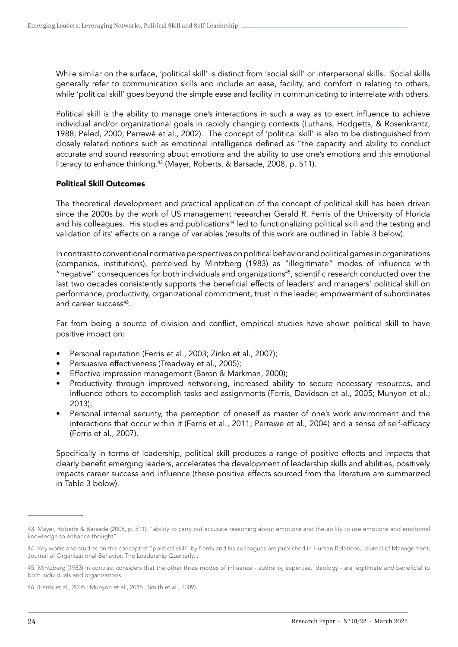While similar on the surface, 'political skill' is distinct from 'social skill' or interpersonal skills. Social skills generally refer to communication skills and include an ease, facility, and comfort in relating to others, while 'political skill' goes beyond the simple ease and facility in communicating to interrelate with others.

Political skill is the ability to manage one's interactions in such a way as to exert influence to achieve individual and/or organizational goals in rapidly changing contexts (Luthans, Hodgetts, & Rosenkrantz, 1988; Peled, 2000; Perrewé et al., 2002). The concept of 'political skill' is also to be distinguished from closely related notions such as emotional intelligence defined as "the capacity and ability to conduct accurate and sound reasoning about emotions and the ability to use one's emotions and this emotional literacy to enhance thinking.<sup>43</sup> (Mayer, Roberts, & Barsade, 2008, p. 511).

#### Political Skill Outcomes

The theoretical development and practical application of the concept of political skill has been driven since the 2000s by the work of US management researcher Gerald R. Ferris of the University of Florida and his colleagues. His studies and publications<sup>44</sup> led to functionalizing political skill and the testing and validation of its' effects on a range of variables (results of this work are outlined in Table 3 below).

In contrast to conventional normative perspectives on political behavior and political games in organizations (companies, institutions), perceived by Mintzberg (1983) as "illegitimate" modes of influence with "negative" consequences for both individuals and organizations45, scientific research conducted over the last two decades consistently supports the beneficial effects of leaders' and managers' political skill on performance, productivity, organizational commitment, trust in the leader, empowerment of subordinates and career success<sup>46</sup>.

Far from being a source of division and conflict, empirical studies have shown political skill to have positive impact on:

- Personal reputation (Ferris et al., 2003; Zinko et al., 2007);
- Persuasive effectiveness (Treadway et al., 2005);
- Effective impression management (Baron & Markman, 2000);
- Productivity through improved networking, increased ability to secure necessary resources, and influence others to accomplish tasks and assignments (Ferris, Davidson et al., 2005; Munyon et al.; 2013);
- Personal internal security, the perception of oneself as master of one's work environment and the interactions that occur within it (Ferris et al., 2011; Perrewe et al., 2004) and a sense of self-efficacy (Ferris et al., 2007).

Specifically in terms of leadership, political skill produces a range of positive effects and impacts that clearly benefit emerging leaders, accelerates the development of leadership skills and abilities, positively impacts career success and influence (these positive effects sourced from the literature are summarized in Table 3 below).

<sup>43.</sup> Mayer, Roberts & Barsade (2008, p. 511): "ability to carry out accurate reasoning about emotions and the ability to use emotions and emotional knowledge to enhance thought".

<sup>44.</sup> Key works and studies on the concept of "political skill" by Ferris and his colleagues are published in Human Relations, Journal of Management, Journal of Organizational Behavior, The Leadership Quarterly...

<sup>45.</sup> Mintzberg (1983) in contrast considers that the other three modes of influence - authority, expertise, ideology - are legitimate and beneficial to both individuals and organizations.

<sup>46. (</sup>Ferris et al., 2005 ; Munyon et al., 2015 ; Smith et al., 2009).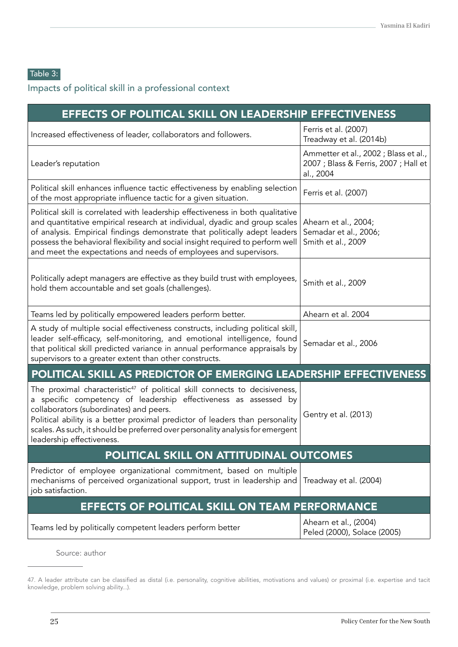### Table 3:

Impacts of political skill in a professional context

| EFFECTS OF POLITICAL SKILL ON LEADERSHIP EFFECTIVENESS                                                                                                                                                                                                                                                                                                                                               |                                                                                             |  |  |
|------------------------------------------------------------------------------------------------------------------------------------------------------------------------------------------------------------------------------------------------------------------------------------------------------------------------------------------------------------------------------------------------------|---------------------------------------------------------------------------------------------|--|--|
| Increased effectiveness of leader, collaborators and followers.                                                                                                                                                                                                                                                                                                                                      | Ferris et al. (2007)<br>Treadway et al. (2014b)                                             |  |  |
| Leader's reputation                                                                                                                                                                                                                                                                                                                                                                                  | Ammetter et al., 2002 ; Blass et al.,<br>2007 ; Blass & Ferris, 2007 ; Hall et<br>al., 2004 |  |  |
| Political skill enhances influence tactic effectiveness by enabling selection<br>of the most appropriate influence tactic for a given situation.                                                                                                                                                                                                                                                     | Ferris et al. (2007)                                                                        |  |  |
| Political skill is correlated with leadership effectiveness in both qualitative<br>and quantitative empirical research at individual, dyadic and group scales<br>of analysis. Empirical findings demonstrate that politically adept leaders<br>possess the behavioral flexibility and social insight required to perform well<br>and meet the expectations and needs of employees and supervisors.   | Ahearn et al., 2004;<br>Semadar et al., 2006;<br>Smith et al., 2009                         |  |  |
| Politically adept managers are effective as they build trust with employees,<br>hold them accountable and set goals (challenges).                                                                                                                                                                                                                                                                    | Smith et al., 2009                                                                          |  |  |
| Teams led by politically empowered leaders perform better.                                                                                                                                                                                                                                                                                                                                           | Ahearn et al. 2004                                                                          |  |  |
| A study of multiple social effectiveness constructs, including political skill,<br>leader self-efficacy, self-monitoring, and emotional intelligence, found<br>that political skill predicted variance in annual performance appraisals by<br>supervisors to a greater extent than other constructs.                                                                                                 | Semadar et al., 2006                                                                        |  |  |
| POLITICAL SKILL AS PREDICTOR OF EMERGING LEADERSHIP EFFECTIVENESS                                                                                                                                                                                                                                                                                                                                    |                                                                                             |  |  |
| The proximal characteristic <sup>47</sup> of political skill connects to decisiveness,<br>a specific competency of leadership effectiveness as assessed by<br>collaborators (subordinates) and peers.<br>Political ability is a better proximal predictor of leaders than personality<br>scales. As such, it should be preferred over personality analysis for emergent<br>leadership effectiveness. | Gentry et al. (2013)                                                                        |  |  |
| POLITICAL SKILL ON ATTITUDINAL OUTCOMES                                                                                                                                                                                                                                                                                                                                                              |                                                                                             |  |  |
| Predictor of employee organizational commitment, based on multiple<br>mechanisms of perceived organizational support, trust in leadership and<br>job satisfaction.                                                                                                                                                                                                                                   | Treadway et al. (2004)                                                                      |  |  |
| <b>EFFECTS OF POLITICAL SKILL ON TEAM PERFORMANCE</b>                                                                                                                                                                                                                                                                                                                                                |                                                                                             |  |  |
| Teams led by politically competent leaders perform better                                                                                                                                                                                                                                                                                                                                            | Ahearn et al., (2004)<br>Peled (2000), Solace (2005)                                        |  |  |

Source: author

<sup>47.</sup> A leader attribute can be classified as distal (i.e. personality, cognitive abilities, motivations and values) or proximal (i.e. expertise and tacit knowledge, problem solving ability...).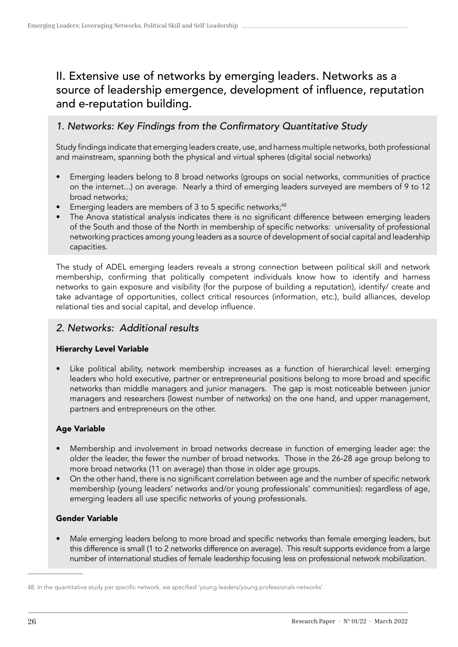# II. Extensive use of networks by emerging leaders. Networks as a source of leadership emergence, development of influence, reputation and e-reputation building.

### 1. Networks: Key Findings from the Confirmatory Quantitative Study

Study findings indicate that emerging leaders create, use, and harness multiple networks, both professional and mainstream, spanning both the physical and virtual spheres (digital social networks)

- Emerging leaders belong to 8 broad networks (groups on social networks, communities of practice on the internet...) on average. Nearly a third of emerging leaders surveyed are members of 9 to 12 broad networks;
- Emerging leaders are members of 3 to 5 specific networks; $48$
- The Anova statistical analysis indicates there is no significant difference between emerging leaders of the South and those of the North in membership of specific networks: universality of professional networking practices among young leaders as a source of development of social capital and leadership capacities.

The study of ADEL emerging leaders reveals a strong connection between political skill and network membership, confirming that politically competent individuals know how to identify and harness networks to gain exposure and visibility (for the purpose of building a reputation), identify/ create and take advantage of opportunities, collect critical resources (information, etc.), build alliances, develop relational ties and social capital, and develop influence.

### 2. Networks: Additional results

### Hierarchy Level Variable

Like political ability, network membership increases as a function of hierarchical level: emerging leaders who hold executive, partner or entrepreneurial positions belong to more broad and specific networks than middle managers and junior managers. The gap is most noticeable between junior managers and researchers (lowest number of networks) on the one hand, and upper management, partners and entrepreneurs on the other.

### Age Variable

- Membership and involvement in broad networks decrease in function of emerging leader age: the older the leader, the fewer the number of broad networks. Those in the 26-28 age group belong to more broad networks (11 on average) than those in older age groups.
- On the other hand, there is no significant correlation between age and the number of specific network membership (young leaders' networks and/or young professionals' communities): regardless of age, emerging leaders all use specific networks of young professionals.

### Gender Variable

• Male emerging leaders belong to more broad and specific networks than female emerging leaders, but this difference is small (1 to 2 networks difference on average). This result supports evidence from a large number of international studies of female leadership focusing less on professional network mobilization.

<sup>48.</sup> In the quantitative study per specific network, we specified 'young leaders/young professionals networks'.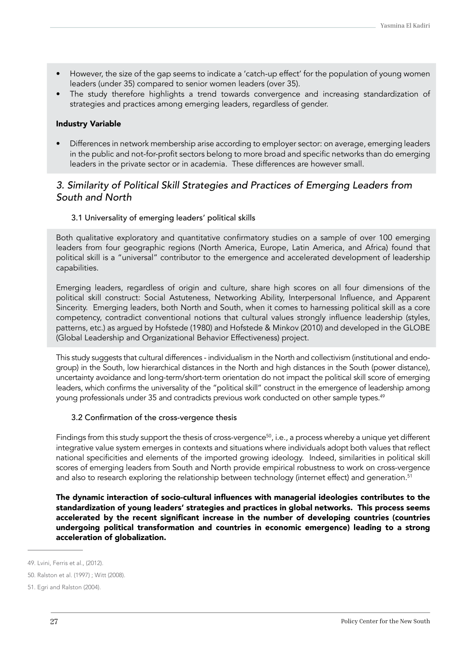- However, the size of the gap seems to indicate a 'catch-up effect' for the population of young women leaders (under 35) compared to senior women leaders (over 35).
- The study therefore highlights a trend towards convergence and increasing standardization of strategies and practices among emerging leaders, regardless of gender.

### Industry Variable

• Differences in network membership arise according to employer sector: on average, emerging leaders in the public and not-for-profit sectors belong to more broad and specific networks than do emerging leaders in the private sector or in academia. These differences are however small.

### 3. Similarity of Political Skill Strategies and Practices of Emerging Leaders from *South and North*

### 3.1 Universality of emerging leaders' political skills

Both qualitative exploratory and quantitative confirmatory studies on a sample of over 100 emerging leaders from four geographic regions (North America, Europe, Latin America, and Africa) found that political skill is a "universal" contributor to the emergence and accelerated development of leadership capabilities.

Emerging leaders, regardless of origin and culture, share high scores on all four dimensions of the political skill construct: Social Astuteness, Networking Ability, Interpersonal Influence, and Apparent Sincerity. Emerging leaders, both North and South, when it comes to harnessing political skill as a core competency, contradict conventional notions that cultural values strongly influence leadership (styles, patterns, etc.) as argued by Hofstede (1980) and Hofstede & Minkov (2010) and developed in the GLOBE (Global Leadership and Organizational Behavior Effectiveness) project.

This study suggests that cultural differences - individualism in the North and collectivism (institutional and endogroup) in the South, low hierarchical distances in the North and high distances in the South (power distance), uncertainty avoidance and long-term/short-term orientation do not impact the political skill score of emerging leaders, which confirms the universality of the "political skill" construct in the emergence of leadership among young professionals under 35 and contradicts previous work conducted on other sample types.<sup>49</sup>

### 3.2 Confirmation of the cross-vergence thesis

Findings from this study support the thesis of cross-vergence<sup>50</sup>, i.e., a process whereby a unique yet different integrative value system emerges in contexts and situations where individuals adopt both values that reflect national specificities and elements of the imported growing ideology. Indeed, similarities in political skill scores of emerging leaders from South and North provide empirical robustness to work on cross-vergence and also to research exploring the relationship between technology (internet effect) and generation.<sup>51</sup>

The dynamic interaction of socio-cultural influences with managerial ideologies contributes to the standardization of young leaders' strategies and practices in global networks. This process seems accelerated by the recent significant increase in the number of developing countries (countries undergoing political transformation and countries in economic emergence) leading to a strong acceleration of globalization.

<sup>49.</sup> Lvini, Ferris et al., (2012).

<sup>50.</sup> Ralston et al. (1997) ; Witt (2008).

<sup>51.</sup> Egri and Ralston (2004).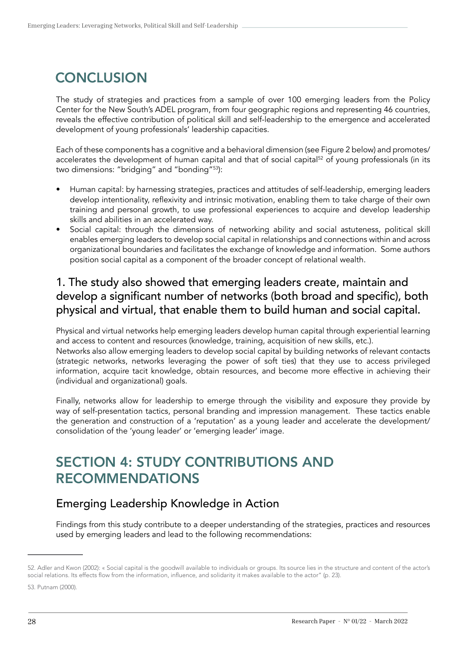# **CONCLUSION**

The study of strategies and practices from a sample of over 100 emerging leaders from the Policy Center for the New South's ADEL program, from four geographic regions and representing 46 countries, reveals the effective contribution of political skill and self-leadership to the emergence and accelerated development of young professionals' leadership capacities.

Each of these components has a cognitive and a behavioral dimension (see Figure 2 below) and promotes/ accelerates the development of human capital and that of social capital<sup>52</sup> of young professionals (in its two dimensions: "bridging" and "bonding"53):

- Human capital: by harnessing strategies, practices and attitudes of self-leadership, emerging leaders develop intentionality, reflexivity and intrinsic motivation, enabling them to take charge of their own training and personal growth, to use professional experiences to acquire and develop leadership skills and abilities in an accelerated way.
- Social capital: through the dimensions of networking ability and social astuteness, political skill enables emerging leaders to develop social capital in relationships and connections within and across organizational boundaries and facilitates the exchange of knowledge and information. Some authors position social capital as a component of the broader concept of relational wealth.

## 1. The study also showed that emerging leaders create, maintain and develop a significant number of networks (both broad and specific), both physical and virtual, that enable them to build human and social capital.

Physical and virtual networks help emerging leaders develop human capital through experiential learning and access to content and resources (knowledge, training, acquisition of new skills, etc.). Networks also allow emerging leaders to develop social capital by building networks of relevant contacts (strategic networks, networks leveraging the power of soft ties) that they use to access privileged information, acquire tacit knowledge, obtain resources, and become more effective in achieving their (individual and organizational) goals.

Finally, networks allow for leadership to emerge through the visibility and exposure they provide by way of self-presentation tactics, personal branding and impression management. These tactics enable the generation and construction of a 'reputation' as a young leader and accelerate the development/ consolidation of the 'young leader' or 'emerging leader' image.

# SECTION 4: STUDY CONTRIBUTIONS AND RECOMMENDATIONS

### Emerging Leadership Knowledge in Action

Findings from this study contribute to a deeper understanding of the strategies, practices and resources used by emerging leaders and lead to the following recommendations:

<sup>52.</sup> Adler and Kwon (2002): « Social capital is the goodwill available to individuals or groups. Its source lies in the structure and content of the actor's social relations. Its effects flow from the information, influence, and solidarity it makes available to the actor" (p. 23).

<sup>53.</sup> Putnam (2000).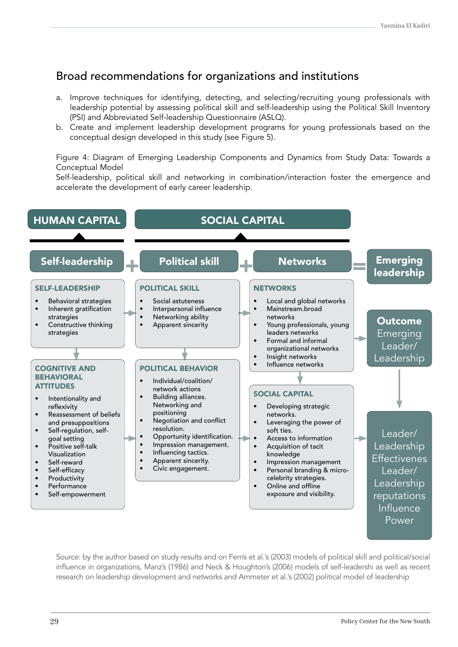# Broad recommendations for organizations and institutions

- a. Improve techniques for identifying, detecting, and selecting/recruiting young professionals with leadership potential by assessing political skill and self-leadership using the Political Skill Inventory (PSI) and Abbreviated Self-leadership Questionnaire (ASLQ).
- b. Create and implement leadership development programs for young professionals based on the conceptual design developed in this study (see Figure 5).

Figure 4: Diagram of Emerging Leadership Components and Dynamics from Study Data: Towards a Conceptual Model

Self-leadership, political skill and networking in combination/interaction foster the emergence and accelerate the development of early career leadership.



Source: by the author based on study results and on Ferris et al.'s (2003) models of political skill and political/social influence in organizations, Manz's (1986) and Neck & Houghton's (2006) models of self-leadershi as well as recent research on leadership development and networks and Ammeter et al.'s (2002) political model of leadership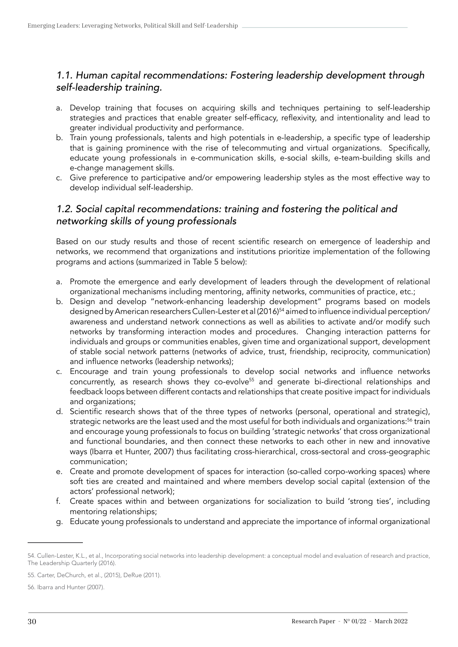### *1.1. Human capital recommendations: Fostering leadership development through self-leadership training.*

- a. Develop training that focuses on acquiring skills and techniques pertaining to self-leadership strategies and practices that enable greater self-efficacy, reflexivity, and intentionality and lead to greater individual productivity and performance.
- b. Train young professionals, talents and high potentials in e-leadership, a specific type of leadership that is gaining prominence with the rise of telecommuting and virtual organizations. Specifically, educate young professionals in e-communication skills, e-social skills, e-team-building skills and e-change management skills.
- c. Give preference to participative and/or empowering leadership styles as the most effective way to develop individual self-leadership.

### *1.2. Social capital recommendations: training and fostering the political and*  networking skills of young professionals

Based on our study results and those of recent scientific research on emergence of leadership and networks, we recommend that organizations and institutions prioritize implementation of the following programs and actions (summarized in Table 5 below):

- a. Promote the emergence and early development of leaders through the development of relational organizational mechanisms including mentoring, affinity networks, communities of practice, etc.;
- b. Design and develop "network-enhancing leadership development" programs based on models designed by American researchers Cullen-Lester et al (2016)<sup>54</sup> aimed to influence individual perception/ awareness and understand network connections as well as abilities to activate and/or modify such networks by transforming interaction modes and procedures. Changing interaction patterns for individuals and groups or communities enables, given time and organizational support, development of stable social network patterns (networks of advice, trust, friendship, reciprocity, communication) and influence networks (leadership networks);
- c. Encourage and train young professionals to develop social networks and influence networks concurrently, as research shows they co-evolve<sup>55</sup> and generate bi-directional relationships and feedback loops between different contacts and relationships that create positive impact for individuals and organizations;
- d. Scientific research shows that of the three types of networks (personal, operational and strategic), strategic networks are the least used and the most useful for both individuals and organizations:<sup>56</sup> train and encourage young professionals to focus on building 'strategic networks' that cross organizational and functional boundaries, and then connect these networks to each other in new and innovative ways (Ibarra et Hunter, 2007) thus facilitating cross-hierarchical, cross-sectoral and cross-geographic communication;
- e. Create and promote development of spaces for interaction (so-called corpo-working spaces) where soft ties are created and maintained and where members develop social capital (extension of the actors' professional network);
- f. Create spaces within and between organizations for socialization to build 'strong ties', including mentoring relationships;
- g. Educate young professionals to understand and appreciate the importance of informal organizational

<sup>54.</sup> Cullen-Lester, K.L., et al., Incorporating social networks into leadership development: a conceptual model and evaluation of research and practice, The Leadership Quarterly (2016).

<sup>55.</sup> Carter, DeChurch, et al., (2015), DeRue (2011).

<sup>56.</sup> Ibarra and Hunter (2007).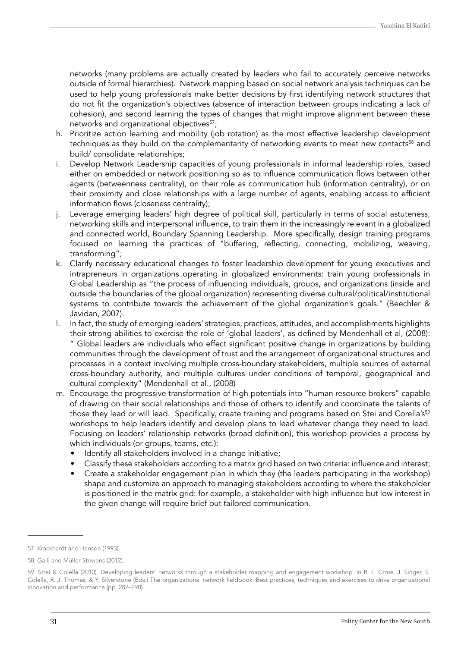networks (many problems are actually created by leaders who fail to accurately perceive networks outside of formal hierarchies). Network mapping based on social network analysis techniques can be used to help young professionals make better decisions by first identifying network structures that do not fit the organization's objectives (absence of interaction between groups indicating a lack of cohesion), and second learning the types of changes that might improve alignment between these networks and organizational objectives<sup>57</sup>;

- h. Prioritize action learning and mobility (job rotation) as the most effective leadership development techniques as they build on the complementarity of networking events to meet new contacts<sup>58</sup> and build/ consolidate relationships;
- i. Develop Network Leadership capacities of young professionals in informal leadership roles, based either on embedded or network positioning so as to influence communication flows between other agents (betweenness centrality), on their role as communication hub (information centrality), or on their proximity and close relationships with a large number of agents, enabling access to efficient information flows (closeness centrality);
- j. Leverage emerging leaders' high degree of political skill, particularly in terms of social astuteness, networking skills and interpersonal influence, to train them in the increasingly relevant in a globalized and connected world, Boundary Spanning Leadership. More specifically, design training programs focused on learning the practices of "buffering, reflecting, connecting, mobilizing, weaving, transforming";
- k. Clarify necessary educational changes to foster leadership development for young executives and intrapreneurs in organizations operating in globalized environments: train young professionals in Global Leadership as "the process of influencing individuals, groups, and organizations (inside and outside the boundaries of the global organization) representing diverse cultural/political/institutional systems to contribute towards the achievement of the global organization's goals." (Beechler & Javidan, 2007).
- l. In fact, the study of emerging leaders' strategies, practices, attitudes, and accomplishments highlights their strong abilities to exercise the role of 'global leaders', as defined by Mendenhall et al, (2008): " Global leaders are individuals who effect significant positive change in organizations by building communities through the development of trust and the arrangement of organizational structures and processes in a context involving multiple cross-boundary stakeholders, multiple sources of external cross-boundary authority, and multiple cultures under conditions of temporal, geographical and cultural complexity" (Mendenhall et al., (2008)
- m. Encourage the progressive transformation of high potentials into "human resource brokers" capable of drawing on their social relationships and those of others to identify and coordinate the talents of those they lead or will lead. Specifically, create training and programs based on Stei and Corella's<sup>59</sup> workshops to help leaders identify and develop plans to lead whatever change they need to lead. Focusing on leaders' relationship networks (broad definition), this workshop provides a process by which individuals (or groups, teams, etc.):
	- Identify all stakeholders involved in a change initiative;
	- Classify these stakeholders according to a matrix grid based on two criteria: influence and interest;
	- Create a stakeholder engagement plan in which they (the leaders participating in the workshop) shape and customize an approach to managing stakeholders according to where the stakeholder is positioned in the matrix grid: for example, a stakeholder with high influence but low interest in the given change will require brief but tailored communication.

<sup>57.</sup> Krackhardt and Hanson (1993).

<sup>58.</sup> Galli and Müller-Stewens (2012).

<sup>59.</sup> Strei & Colella (2010). Developing leaders' networks through a stakeholder mapping and engagement workshop. In R. L. Cross, J. Singer, S. Colella, R. J. Thomas, & Y. Silverstone (Eds.) The organizational network fieldbook: Best practices, techniques and exercises to drive organizational innovation and performance (pp. 282–290).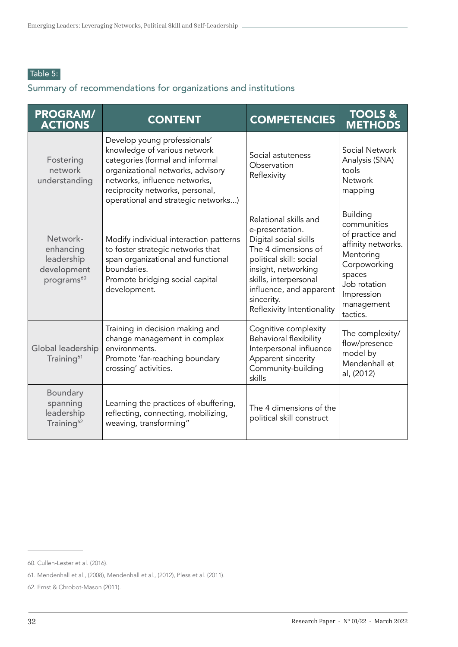### Table 5:

### Summary of recommendations for organizations and institutions

| <b>PROGRAM/</b><br><b>ACTIONS</b>                                            | <b>CONTENT</b>                                                                                                                                                                                                                                  | <b>COMPETENCIES</b>                                                                                                                                                                                                                        | <b>TOOLS &amp;</b><br><b>METHODS</b>                                                                                                                                   |
|------------------------------------------------------------------------------|-------------------------------------------------------------------------------------------------------------------------------------------------------------------------------------------------------------------------------------------------|--------------------------------------------------------------------------------------------------------------------------------------------------------------------------------------------------------------------------------------------|------------------------------------------------------------------------------------------------------------------------------------------------------------------------|
| Fostering<br>network<br>understanding                                        | Develop young professionals'<br>knowledge of various network<br>categories (formal and informal<br>organizational networks, advisory<br>networks, influence networks,<br>reciprocity networks, personal,<br>operational and strategic networks) | Social astuteness<br>Observation<br>Reflexivity                                                                                                                                                                                            | Social Network<br>Analysis (SNA)<br>tools<br><b>Network</b><br>mapping                                                                                                 |
| Network-<br>enhancing<br>leadership<br>development<br>programs <sup>60</sup> | Modify individual interaction patterns<br>to foster strategic networks that<br>span organizational and functional<br>boundaries.<br>Promote bridging social capital<br>development.                                                             | Relational skills and<br>e-presentation.<br>Digital social skills<br>The 4 dimensions of<br>political skill: social<br>insight, networking<br>skills, interpersonal<br>influence, and apparent<br>sincerity.<br>Reflexivity Intentionality | <b>Building</b><br>communities<br>of practice and<br>affinity networks.<br>Mentoring<br>Corpoworking<br>spaces<br>Job rotation<br>Impression<br>management<br>tactics. |
| Global leadership<br>Training <sup>61</sup>                                  | Training in decision making and<br>change management in complex<br>environments.<br>Promote 'far-reaching boundary<br>crossing' activities.                                                                                                     | Cognitive complexity<br>Behavioral flexibility<br>Interpersonal influence<br>Apparent sincerity<br>Community-building<br>skills                                                                                                            | The complexity/<br>flow/presence<br>model by<br>Mendenhall et<br>al, (2012)                                                                                            |
| Boundary<br>spanning<br>leadership<br>Training <sup>62</sup>                 | Learning the practices of «buffering,<br>reflecting, connecting, mobilizing,<br>weaving, transforming"                                                                                                                                          | The 4 dimensions of the<br>political skill construct                                                                                                                                                                                       |                                                                                                                                                                        |

<sup>60.</sup> Cullen-Lester et al. (2016).

<sup>61.</sup> Mendenhall et al., (2008), Mendenhall et al., (2012), Pless et al. (2011).

<sup>62.</sup> Ernst & Chrobot-Mason (2011).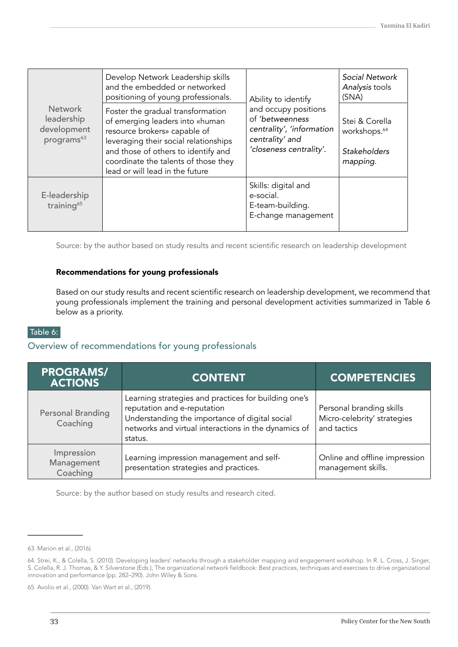| <b>Network</b><br>leadership<br>development<br>programs <sup>63</sup> | Develop Network Leadership skills<br>and the embedded or networked<br>positioning of young professionals.                                                                                                                                                       | Ability to identify<br>and occupy positions<br>of 'betweenness<br>centrality', 'information<br>centrality' and<br>'closeness centrality'. | Social Network<br>Analysis tools<br>(SNA)                                     |
|-----------------------------------------------------------------------|-----------------------------------------------------------------------------------------------------------------------------------------------------------------------------------------------------------------------------------------------------------------|-------------------------------------------------------------------------------------------------------------------------------------------|-------------------------------------------------------------------------------|
|                                                                       | Foster the gradual transformation<br>of emerging leaders into «human<br>resource brokers» capable of<br>leveraging their social relationships<br>and those of others to identify and<br>coordinate the talents of those they<br>lead or will lead in the future |                                                                                                                                           | Stei & Corella<br>workshops. <sup>64</sup><br><b>Stakeholders</b><br>mapping. |
| E-leadership<br>training <sup>65</sup>                                |                                                                                                                                                                                                                                                                 | Skills: digital and<br>e-social.<br>E-team-building.<br>E-change management                                                               |                                                                               |

Source: by the author based on study results and recent scientific research on leadership development

#### Recommendations for young professionals

Based on our study results and recent scientific research on leadership development, we recommend that young professionals implement the training and personal development activities summarized in Table 6 below as a priority.

### Table 6:

### Overview of recommendations for young professionals

| <b>PROGRAMS/</b><br><b>ACTIONS</b>   | <b>CONTENT</b>                                                                                                                                                                                           | <b>COMPETENCIES</b>                                                    |
|--------------------------------------|----------------------------------------------------------------------------------------------------------------------------------------------------------------------------------------------------------|------------------------------------------------------------------------|
| <b>Personal Branding</b><br>Coaching | Learning strategies and practices for building one's<br>reputation and e-reputation<br>Understanding the importance of digital social<br>networks and virtual interactions in the dynamics of<br>status. | Personal branding skills<br>Micro-celebrity' strategies<br>and tactics |
| Impression<br>Management<br>Coaching | Learning impression management and self-<br>presentation strategies and practices.                                                                                                                       | Online and offline impression<br>management skills.                    |

Source: by the author based on study results and research cited.

65. Avolio et al., (2000). Van Wart et al., (2019).

<sup>63.</sup> Marion et al., (2016).

<sup>64.</sup> Strei, K., & Colella, S. (2010). Developing leaders' networks through a stakeholder mapping and engagement workshop. In R. L. Cross, J. Singer, S. Colella, R. J. Thomas, & Y. Silverstone (Eds.), The organizational network fieldbook: Best practices, techniques and exercises to drive organizational innovation and performance (pp. 282–290). John Wiley & Sons.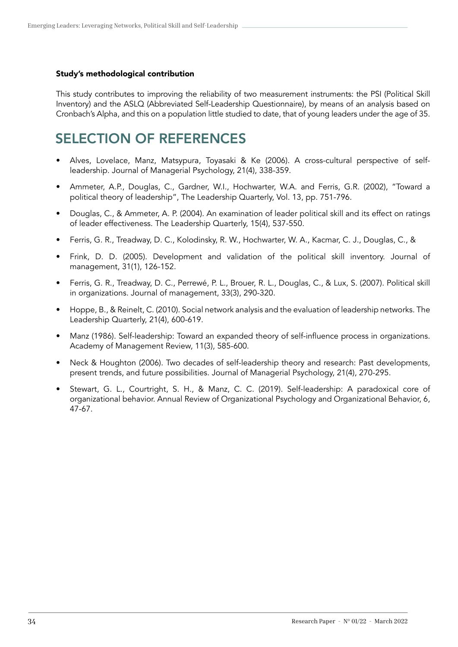### Study's methodological contribution

This study contributes to improving the reliability of two measurement instruments: the PSI (Political Skill Inventory) and the ASLQ (Abbreviated Self-Leadership Questionnaire), by means of an analysis based on Cronbach's Alpha, and this on a population little studied to date, that of young leaders under the age of 35.

# SELECTION OF REFERENCES

- Alves, Lovelace, Manz, Matsypura, Toyasaki & Ke (2006). A cross-cultural perspective of selfleadership. Journal of Managerial Psychology, 21(4), 338-359.
- Ammeter, A.P., Douglas, C., Gardner, W.I., Hochwarter, W.A. and Ferris, G.R. (2002), "Toward a political theory of leadership", The Leadership Quarterly, Vol. 13, pp. 751-796.
- Douglas, C., & Ammeter, A. P. (2004). An examination of leader political skill and its effect on ratings of leader effectiveness. The Leadership Quarterly, 15(4), 537-550.
- Ferris, G. R., Treadway, D. C., Kolodinsky, R. W., Hochwarter, W. A., Kacmar, C. J., Douglas, C., &
- Frink, D. D. (2005). Development and validation of the political skill inventory. Journal of management, 31(1), 126-152.
- Ferris, G. R., Treadway, D. C., Perrewé, P. L., Brouer, R. L., Douglas, C., & Lux, S. (2007). Political skill in organizations. Journal of management, 33(3), 290-320.
- Hoppe, B., & Reinelt, C. (2010). Social network analysis and the evaluation of leadership networks. The Leadership Quarterly, 21(4), 600-619.
- Manz (1986). Self-leadership: Toward an expanded theory of self-influence process in organizations. Academy of Management Review, 11(3), 585-600.
- Neck & Houghton (2006). Two decades of self-leadership theory and research: Past developments, present trends, and future possibilities. Journal of Managerial Psychology, 21(4), 270-295.
- Stewart, G. L., Courtright, S. H., & Manz, C. C. (2019). Self-leadership: A paradoxical core of organizational behavior. Annual Review of Organizational Psychology and Organizational Behavior, 6, 47-67.